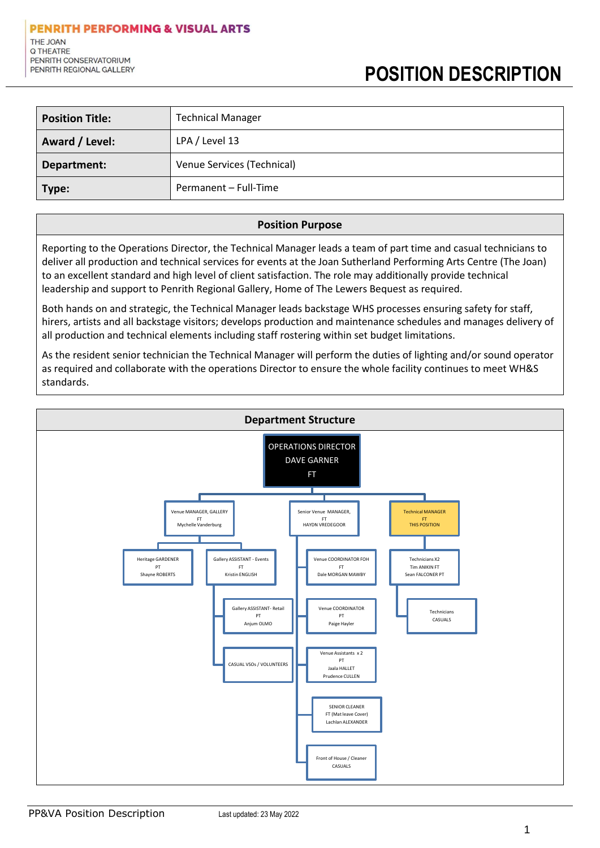| <b>Position Title:</b> | <b>Technical Manager</b>   |
|------------------------|----------------------------|
| Award / Level:         | LPA / Level 13             |
| Department:            | Venue Services (Technical) |
| Type:                  | Permanent - Full-Time      |

## **Position Purpose**

Reporting to the Operations Director, the Technical Manager leads a team of part time and casual technicians to deliver all production and technical services for events at the Joan Sutherland Performing Arts Centre (The Joan) to an excellent standard and high level of client satisfaction. The role may additionally provide technical leadership and support to Penrith Regional Gallery, Home of The Lewers Bequest as required.

Both hands on and strategic, the Technical Manager leads backstage WHS processes ensuring safety for staff, hirers, artists and all backstage visitors; develops production and maintenance schedules and manages delivery of all production and technical elements including staff rostering within set budget limitations.

As the resident senior technician the Technical Manager will perform the duties of lighting and/or sound operator as required and collaborate with the operations Director to ensure the whole facility continues to meet WH&S standards.

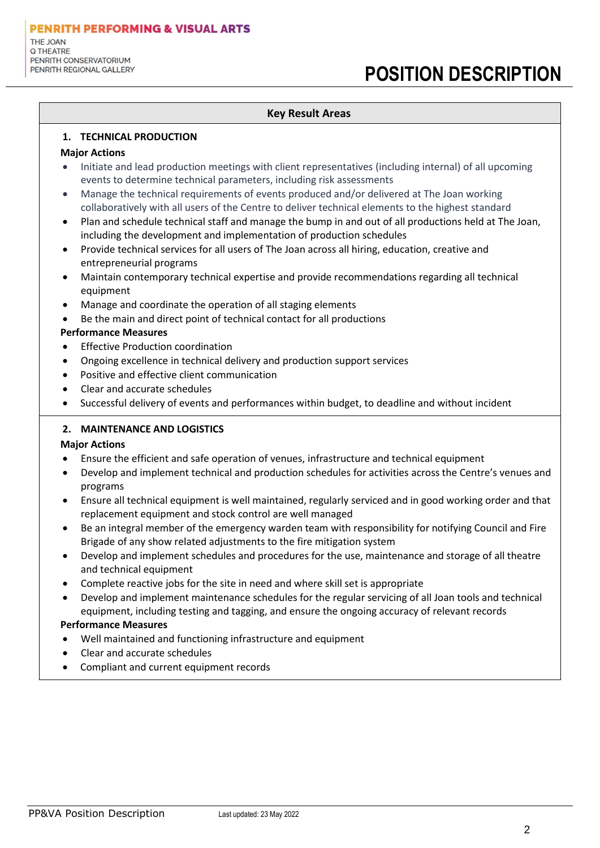## **POSITION DESCRIPTION**

## **Key Result Areas**

### **1. TECHNICAL PRODUCTION**

#### **Major Actions**

- Initiate and lead production meetings with client representatives (including internal) of all upcoming events to determine technical parameters, including risk assessments
- Manage the technical requirements of events produced and/or delivered at The Joan working collaboratively with all users of the Centre to deliver technical elements to the highest standard
- Plan and schedule technical staff and manage the bump in and out of all productions held at The Joan, including the development and implementation of production schedules
- Provide technical services for all users of The Joan across all hiring, education, creative and entrepreneurial programs
- Maintain contemporary technical expertise and provide recommendations regarding all technical equipment
- Manage and coordinate the operation of all staging elements
- Be the main and direct point of technical contact for all productions

## **Performance Measures**

- Effective Production coordination
- Ongoing excellence in technical delivery and production support services
- Positive and effective client communication
- Clear and accurate schedules
- Successful delivery of events and performances within budget, to deadline and without incident

## **2. MAINTENANCE AND LOGISTICS**

## **Major Actions**

- Ensure the efficient and safe operation of venues, infrastructure and technical equipment
- Develop and implement technical and production schedules for activities across the Centre's venues and programs
- Ensure all technical equipment is well maintained, regularly serviced and in good working order and that replacement equipment and stock control are well managed
- Be an integral member of the emergency warden team with responsibility for notifying Council and Fire Brigade of any show related adjustments to the fire mitigation system
- Develop and implement schedules and procedures for the use, maintenance and storage of all theatre and technical equipment
- Complete reactive jobs for the site in need and where skill set is appropriate
- Develop and implement maintenance schedules for the regular servicing of all Joan tools and technical equipment, including testing and tagging, and ensure the ongoing accuracy of relevant records

## **Performance Measures**

- Well maintained and functioning infrastructure and equipment
- Clear and accurate schedules
- Compliant and current equipment records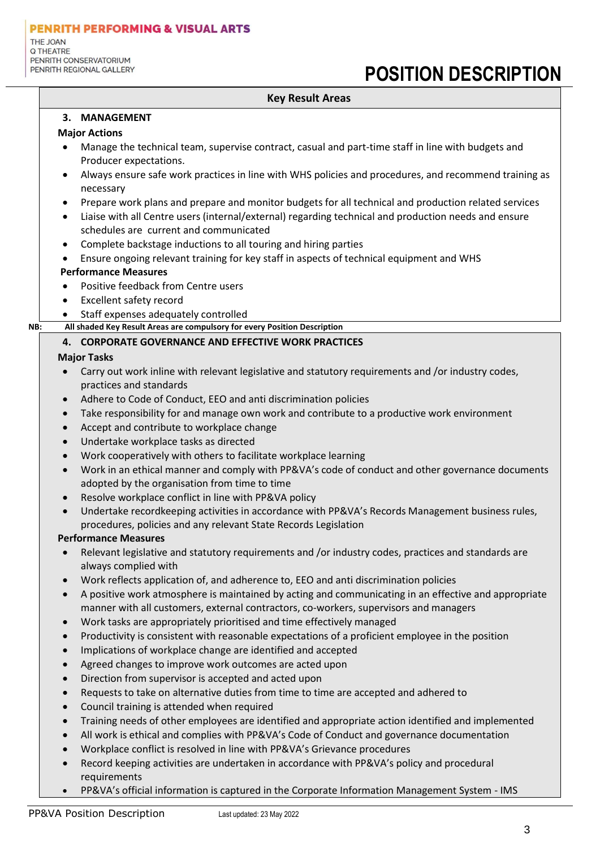## **POSITION DESCRIPTION**

## **Key Result Areas**

#### **3. MANAGEMENT**

#### **Major Actions**

- Manage the technical team, supervise contract, casual and part-time staff in line with budgets and Producer expectations.
- Always ensure safe work practices in line with WHS policies and procedures, and recommend training as necessary
- Prepare work plans and prepare and monitor budgets for all technical and production related services
- Liaise with all Centre users (internal/external) regarding technical and production needs and ensure schedules are current and communicated
- Complete backstage inductions to all touring and hiring parties
- Ensure ongoing relevant training for key staff in aspects of technical equipment and WHS

## **Performance Measures**

- Positive feedback from Centre users
- **Excellent safety record**
- Staff expenses adequately controlled
- **NB: All shaded Key Result Areas are compulsory for every Position Description**

## **4. CORPORATE GOVERNANCE AND EFFECTIVE WORK PRACTICES**

## **Major Tasks**

- Carry out work inline with relevant legislative and statutory requirements and /or industry codes, practices and standards
- Adhere to Code of Conduct, EEO and anti discrimination policies
- Take responsibility for and manage own work and contribute to a productive work environment
- Accept and contribute to workplace change
- Undertake workplace tasks as directed
- Work cooperatively with others to facilitate workplace learning
- Work in an ethical manner and comply with PP&VA's code of conduct and other governance documents adopted by the organisation from time to time
- Resolve workplace conflict in line with PP&VA policy
- Undertake recordkeeping activities in accordance with PP&VA's Records Management business rules, procedures, policies and any relevant State Records Legislation

## **Performance Measures**

- Relevant legislative and statutory requirements and /or industry codes, practices and standards are always complied with
- Work reflects application of, and adherence to, EEO and anti discrimination policies
- A positive work atmosphere is maintained by acting and communicating in an effective and appropriate manner with all customers, external contractors, co-workers, supervisors and managers
- Work tasks are appropriately prioritised and time effectively managed
- Productivity is consistent with reasonable expectations of a proficient employee in the position
- Implications of workplace change are identified and accepted
- Agreed changes to improve work outcomes are acted upon
- Direction from supervisor is accepted and acted upon
- Requests to take on alternative duties from time to time are accepted and adhered to
- Council training is attended when required
- Training needs of other employees are identified and appropriate action identified and implemented
- All work is ethical and complies with PP&VA's Code of Conduct and governance documentation
- Workplace conflict is resolved in line with PP&VA's Grievance procedures
- Record keeping activities are undertaken in accordance with PP&VA's policy and procedural requirements
- PP&VA's official information is captured in the Corporate Information Management System IMS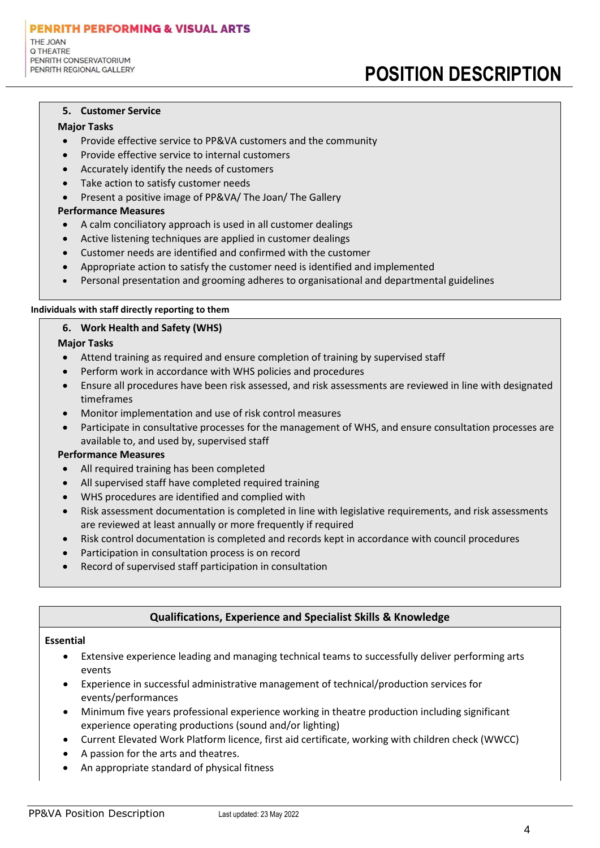**PENRITH PERFORMING & VISUAL ARTS** THE JOAN Q THEATRE PENRITH CONSERVATORIUM PENRITH REGIONAL GALLERY

## **POSITION DESCRIPTION**

#### **5. Customer Service**

#### **Major Tasks**

- Provide effective service to PP&VA customers and the community
- Provide effective service to internal customers
- Accurately identify the needs of customers
- Take action to satisfy customer needs
- Present a positive image of PP&VA/ The Joan/ The Gallery

#### **Performance Measures**

- A calm conciliatory approach is used in all customer dealings
- Active listening techniques are applied in customer dealings
- Customer needs are identified and confirmed with the customer
- Appropriate action to satisfy the customer need is identified and implemented
- Personal presentation and grooming adheres to organisational and departmental guidelines

#### **Individuals with staff directly reporting to them**

#### **6. Work Health and Safety (WHS)**

#### **Major Tasks**

- Attend training as required and ensure completion of training by supervised staff
- Perform work in accordance with WHS policies and procedures
- Ensure all procedures have been risk assessed, and risk assessments are reviewed in line with designated timeframes
- Monitor implementation and use of risk control measures
- Participate in consultative processes for the management of WHS, and ensure consultation processes are available to, and used by, supervised staff

#### **Performance Measures**

- All required training has been completed
- All supervised staff have completed required training
- WHS procedures are identified and complied with
- Risk assessment documentation is completed in line with legislative requirements, and risk assessments are reviewed at least annually or more frequently if required
- Risk control documentation is completed and records kept in accordance with council procedures
- Participation in consultation process is on record
- Record of supervised staff participation in consultation

## **Qualifications, Experience and Specialist Skills & Knowledge**

#### **Essential**

- Extensive experience leading and managing technical teams to successfully deliver performing arts events
- Experience in successful administrative management of technical/production services for events/performances
- Minimum five years professional experience working in theatre production including significant experience operating productions (sound and/or lighting)
- Current Elevated Work Platform licence, first aid certificate, working with children check (WWCC)
- A passion for the arts and theatres.
- An appropriate standard of physical fitness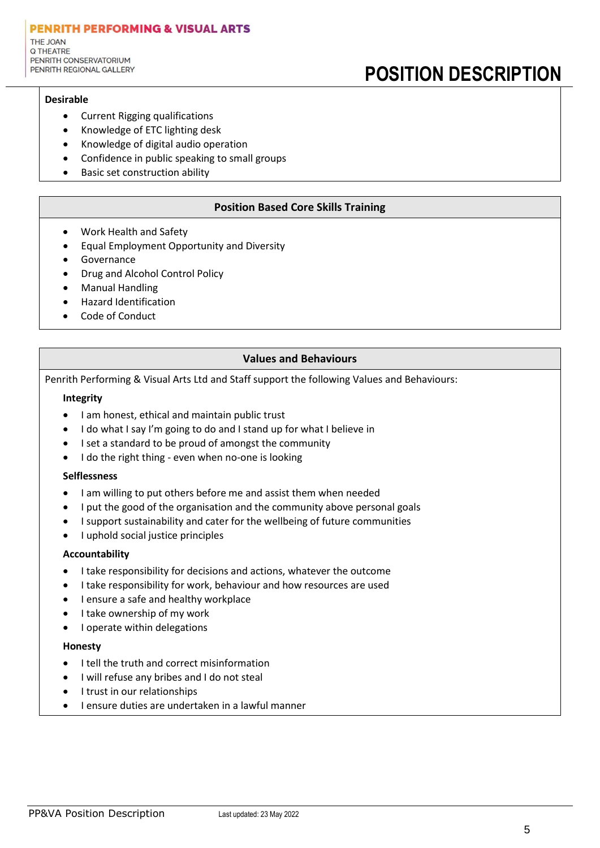#### **PENRITH PERFORMING & VISUAL ARTS** THE JOAN Q THEATRE PENRITH CONSERVATORIUM PENRITH REGIONAL GALLERY

# **POSITION DESCRIPTION**

### **Desirable**

- Current Rigging qualifications
- Knowledge of ETC lighting desk
- Knowledge of digital audio operation
- Confidence in public speaking to small groups
- Basic set construction ability

## **Position Based Core Skills Training**

- Work Health and Safety
- Equal Employment Opportunity and Diversity
- **Governance**
- Drug and Alcohol Control Policy
- Manual Handling
- Hazard Identification
- Code of Conduct

## **Values and Behaviours**

Penrith Performing & Visual Arts Ltd and Staff support the following Values and Behaviours:

#### **Integrity**

- I am honest, ethical and maintain public trust
- I do what I say I'm going to do and I stand up for what I believe in
- I set a standard to be proud of amongst the community
- I do the right thing even when no-one is looking

#### **Selflessness**

- I am willing to put others before me and assist them when needed
- I put the good of the organisation and the community above personal goals
- I support sustainability and cater for the wellbeing of future communities
- I uphold social justice principles

#### **Accountability**

- I take responsibility for decisions and actions, whatever the outcome
- I take responsibility for work, behaviour and how resources are used
- I ensure a safe and healthy workplace
- I take ownership of my work
- I operate within delegations

#### **Honesty**

- I tell the truth and correct misinformation
- I will refuse any bribes and I do not steal
- I trust in our relationships
- I ensure duties are undertaken in a lawful manner